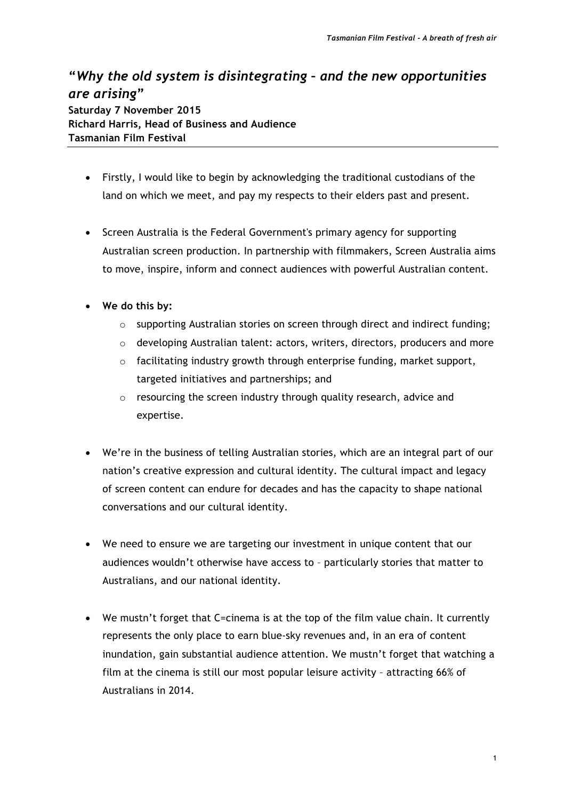## **"***Why the old system is disintegrating – and the new opportunities are arising***" Saturday 7 November 2015**

**Richard Harris, Head of Business and Audience Tasmanian Film Festival**

- Firstly, I would like to begin by acknowledging the traditional custodians of the land on which we meet, and pay my respects to their elders past and present.
- Screen Australia is the Federal Government's primary agency for supporting Australian screen production. In partnership with filmmakers, Screen Australia aims to move, inspire, inform and connect audiences with powerful Australian content.
- **We do this by:**
	- $\circ$  supporting Australian stories on screen through direct and indirect funding;
	- o developing Australian talent: actors, writers, directors, producers and more
	- $\circ$  facilitating industry growth through enterprise funding, market support, targeted initiatives and partnerships; and
	- o resourcing the screen industry through quality research, advice and expertise.
- We're in the business of telling Australian stories, which are an integral part of our nation's creative expression and cultural identity. The cultural impact and legacy of screen content can endure for decades and has the capacity to shape national conversations and our cultural identity.
- We need to ensure we are targeting our investment in unique content that our audiences wouldn't otherwise have access to – particularly stories that matter to Australians, and our national identity.
- We mustn't forget that C=cinema is at the top of the film value chain. It currently represents the only place to earn blue-sky revenues and, in an era of content inundation, gain substantial audience attention. We mustn't forget that watching a film at the cinema is still our most popular leisure activity – attracting 66% of Australians in 2014.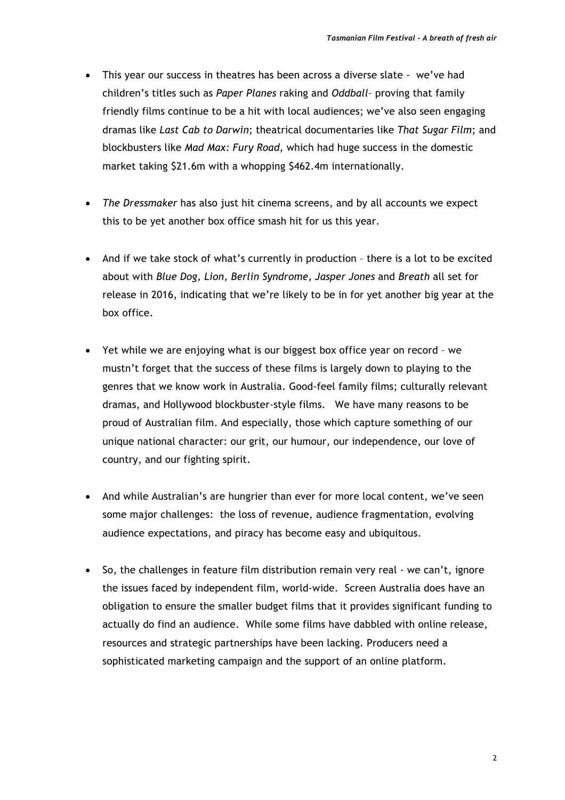- This year our success in theatres has been across a diverse slate we've had children's titles such as *Paper Planes* raking and *Oddball*– proving that family friendly films continue to be a hit with local audiences; we've also seen engaging dramas like *Last Cab to Darwin*; theatrical documentaries like *That Sugar Film*; and blockbusters like *Mad Max: Fury Road,* which had huge success in the domestic market taking \$21.6m with a whopping \$462.4m internationally.
- *The Dressmaker* has also just hit cinema screens, and by all accounts we expect this to be yet another box office smash hit for us this year.
- And if we take stock of what's currently in production there is a lot to be excited about with *Blue Dog, Lion, Berlin Syndrome, Jasper Jones* and *Breath* all set for release in 2016, indicating that we're likely to be in for yet another big year at the box office.
- Yet while we are enjoying what is our biggest box office year on record we mustn't forget that the success of these films is largely down to playing to the genres that we know work in Australia. Good-feel family films; culturally relevant dramas, and Hollywood blockbuster-style films. We have many reasons to be proud of Australian film. And especially, those which capture something of our unique national character: our grit, our humour, our independence, our love of country, and our fighting spirit.
- And while Australian's are hungrier than ever for more local content, we've seen some major challenges: the loss of revenue, audience fragmentation, evolving audience expectations, and piracy has become easy and ubiquitous.
- So, the challenges in feature film distribution remain very real we can't, ignore the issues faced by independent film, world-wide. Screen Australia does have an obligation to ensure the smaller budget films that it provides significant funding to actually do find an audience. While some films have dabbled with online release, resources and strategic partnerships have been lacking. Producers need a sophisticated marketing campaign and the support of an online platform.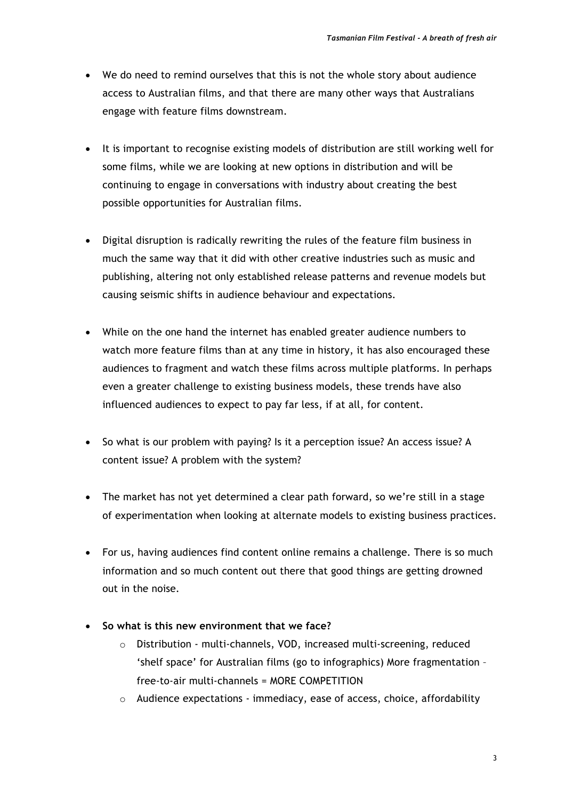- We do need to remind ourselves that this is not the whole story about audience access to Australian films, and that there are many other ways that Australians engage with feature films downstream.
- It is important to recognise existing models of distribution are still working well for some films, while we are looking at new options in distribution and will be continuing to engage in conversations with industry about creating the best possible opportunities for Australian films.
- Digital disruption is radically rewriting the rules of the feature film business in much the same way that it did with other creative industries such as music and publishing, altering not only established release patterns and revenue models but causing seismic shifts in audience behaviour and expectations.
- While on the one hand the internet has enabled greater audience numbers to watch more feature films than at any time in history, it has also encouraged these audiences to fragment and watch these films across multiple platforms. In perhaps even a greater challenge to existing business models, these trends have also influenced audiences to expect to pay far less, if at all, for content.
- So what is our problem with paying? Is it a perception issue? An access issue? A content issue? A problem with the system?
- The market has not yet determined a clear path forward, so we're still in a stage of experimentation when looking at alternate models to existing business practices.
- For us, having audiences find content online remains a challenge. There is so much information and so much content out there that good things are getting drowned out in the noise.
- **So what is this new environment that we face?**
	- o Distribution multi-channels, VOD, increased multi-screening, reduced 'shelf space' for Australian films (go to infographics) More fragmentation – free-to-air multi-channels = MORE COMPETITION
	- $\circ$  Audience expectations immediacy, ease of access, choice, affordability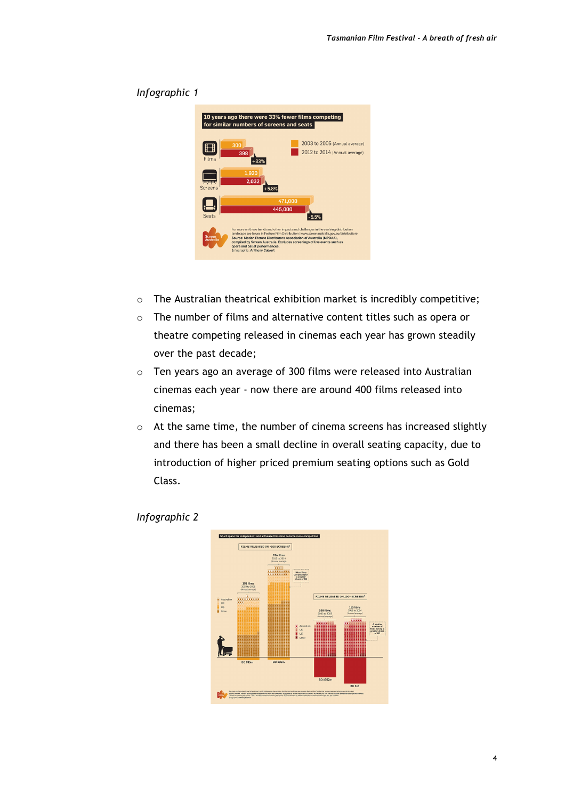|                     | 300            |         | 2003 to 2005 (Annual average)                                                                                                                                                                                                                                                                                                                                                                                                                                                                                                   |
|---------------------|----------------|---------|---------------------------------------------------------------------------------------------------------------------------------------------------------------------------------------------------------------------------------------------------------------------------------------------------------------------------------------------------------------------------------------------------------------------------------------------------------------------------------------------------------------------------------|
| Films               | 398<br>$+33%$  |         | 2012 to 2014 (Annual average)                                                                                                                                                                                                                                                                                                                                                                                                                                                                                                   |
| Screens             | 1.920<br>2,032 |         |                                                                                                                                                                                                                                                                                                                                                                                                                                                                                                                                 |
|                     |                | 471.000 |                                                                                                                                                                                                                                                                                                                                                                                                                                                                                                                                 |
|                     |                | 445,000 |                                                                                                                                                                                                                                                                                                                                                                                                                                                                                                                                 |
|                     |                |         | $-5.5%$                                                                                                                                                                                                                                                                                                                                                                                                                                                                                                                         |
| Screen<br>Australia |                |         |                                                                                                                                                                                                                                                                                                                                                                                                                                                                                                                                 |
|                     | <b>Seats</b>   |         | 10 years ago there were 33% fewer films competing<br>for similar numbers of screens and seats<br>$+5.8%$<br>For more on these trends and other impacts and challenges in the evolving distribution<br>landscape see Issues in Feature Film Distribution (www.screenaustralia.gov.au/distribution)<br>Source: Motion Picture Distributors Association of Australia (MPDAA).<br>compiled by Screen Australia. Excludes screenings of live events such as<br>opera and ballet performances.<br><b>Infographic: Anthony Calvert</b> |

## *Infographic 1*

- o The Australian theatrical exhibition market is incredibly competitive;
- o The number of films and alternative content titles such as opera or theatre competing released in cinemas each year has grown steadily over the past decade;
- o Ten years ago an average of 300 films were released into Australian cinemas each year - now there are around 400 films released into cinemas;
- o At the same time, the number of cinema screens has increased slightly and there has been a small decline in overall seating capacity, due to introduction of higher priced premium seating options such as Gold Class.



## *Infographic 2*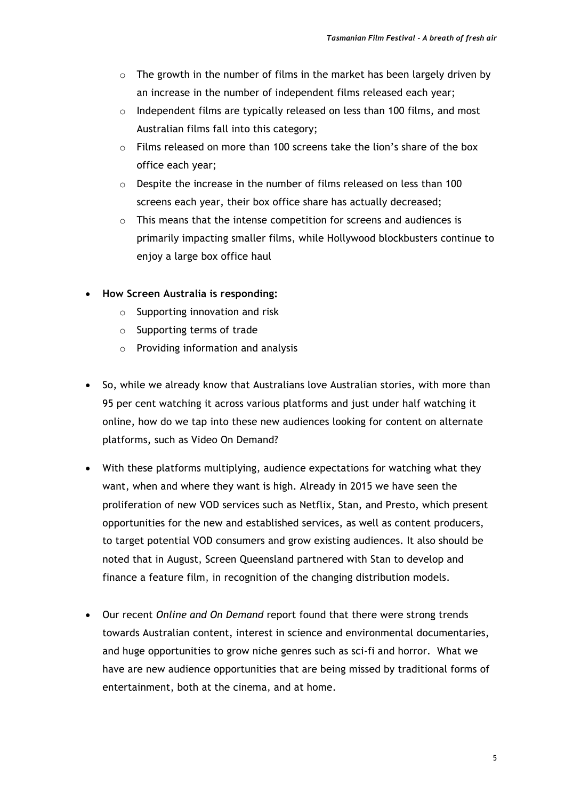- $\circ$  The growth in the number of films in the market has been largely driven by an increase in the number of independent films released each year;
- $\circ$  Independent films are typically released on less than 100 films, and most Australian films fall into this category;
- o Films released on more than 100 screens take the lion's share of the box office each year;
- o Despite the increase in the number of films released on less than 100 screens each year, their box office share has actually decreased;
- o This means that the intense competition for screens and audiences is primarily impacting smaller films, while Hollywood blockbusters continue to enjoy a large box office haul
- **How Screen Australia is responding:**
	- $\circ$  Supporting innovation and risk
	- o Supporting terms of trade
	- o Providing information and analysis
- So, while we already know that Australians love Australian stories, with more than 95 per cent watching it across various platforms and just under half watching it online, how do we tap into these new audiences looking for content on alternate platforms, such as Video On Demand?
- With these platforms multiplying, audience expectations for watching what they want, when and where they want is high. Already in 2015 we have seen the proliferation of new VOD services such as Netflix, Stan, and Presto, which present opportunities for the new and established services, as well as content producers, to target potential VOD consumers and grow existing audiences. It also should be noted that in August, Screen Queensland partnered with Stan to develop and finance a feature film, in recognition of the changing distribution models.
- Our recent *Online and On Demand* report found that there were strong trends towards Australian content, interest in science and environmental documentaries, and huge opportunities to grow niche genres such as sci-fi and horror. What we have are new audience opportunities that are being missed by traditional forms of entertainment, both at the cinema, and at home.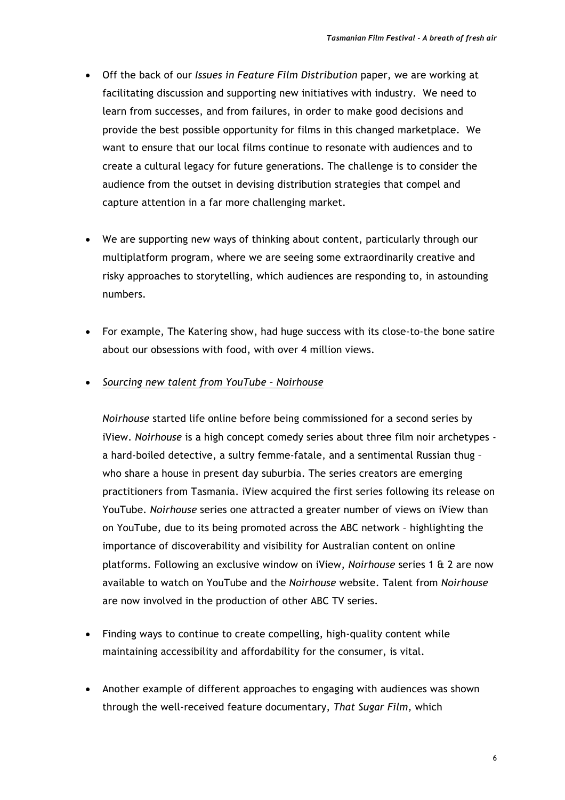- Off the back of our *Issues in Feature Film Distribution* paper, we are working at facilitating discussion and supporting new initiatives with industry. We need to learn from successes, and from failures, in order to make good decisions and provide the best possible opportunity for films in this changed marketplace. We want to ensure that our local films continue to resonate with audiences and to create a cultural legacy for future generations. The challenge is to consider the audience from the outset in devising distribution strategies that compel and capture attention in a far more challenging market.
- We are supporting new ways of thinking about content, particularly through our multiplatform program, where we are seeing some extraordinarily creative and risky approaches to storytelling, which audiences are responding to, in astounding numbers.
- For example, The Katering show, had huge success with its close-to-the bone satire about our obsessions with food, with over 4 million views.
- *Sourcing new talent from YouTube – Noirhouse*

*Noirhouse* started life online before being commissioned for a second series by iView. *Noirhouse* is a high concept comedy series about three film noir archetypes a hard-boiled detective, a sultry femme-fatale, and a sentimental Russian thug – who share a house in present day suburbia. The series creators are emerging practitioners from Tasmania. iView acquired the first series following its release on YouTube. *Noirhouse* series one attracted a greater number of views on iView than on YouTube, due to its being promoted across the ABC network – highlighting the importance of discoverability and visibility for Australian content on online platforms. Following an exclusive window on iView, *Noirhouse* series 1 & 2 are now available to watch on YouTube and the *Noirhouse* website. Talent from *Noirhouse*  are now involved in the production of other ABC TV series.

- Finding ways to continue to create compelling, high-quality content while maintaining accessibility and affordability for the consumer, is vital.
- Another example of different approaches to engaging with audiences was shown through the well-received feature documentary, *That Sugar Film,* which